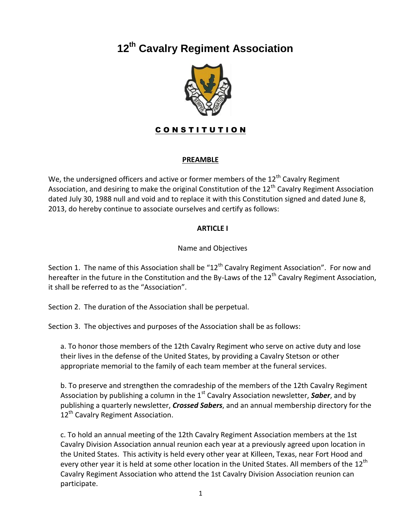# **12th Cavalry Regiment Association**



# CONSTITUTION

# **PREAMBLE**

We, the undersigned officers and active or former members of the  $12<sup>th</sup>$  Cavalry Regiment Association, and desiring to make the original Constitution of the 12<sup>th</sup> Cavalry Regiment Association dated July 30, 1988 null and void and to replace it with this Constitution signed and dated June 8, 2013, do hereby continue to associate ourselves and certify as follows:

# **ARTICLE I**

#### Name and Objectives

Section 1. The name of this Association shall be "12<sup>th</sup> Cavalry Regiment Association". For now and hereafter in the future in the Constitution and the By-Laws of the  $12<sup>th</sup>$  Cavalry Regiment Association, it shall be referred to as the "Association".

Section 2. The duration of the Association shall be perpetual.

Section 3. The objectives and purposes of the Association shall be as follows:

a. To honor those members of the 12th Cavalry Regiment who serve on active duty and lose their lives in the defense of the United States, by providing a Cavalry Stetson or other appropriate memorial to the family of each team member at the funeral services.

b. To preserve and strengthen the comradeship of the members of the 12th Cavalry Regiment Association by publishing a column in the 1<sup>st</sup> Cavalry Association newsletter, **Saber**, and by publishing a quarterly newsletter, *Crossed Sabers*, and an annual membership directory for the 12<sup>th</sup> Cavalry Regiment Association.

c. To hold an annual meeting of the 12th Cavalry Regiment Association members at the 1st Cavalry Division Association annual reunion each year at a previously agreed upon location in the United States. This activity is held every other year at Killeen, Texas, near Fort Hood and every other year it is held at some other location in the United States. All members of the 12<sup>th</sup> Cavalry Regiment Association who attend the 1st Cavalry Division Association reunion can participate.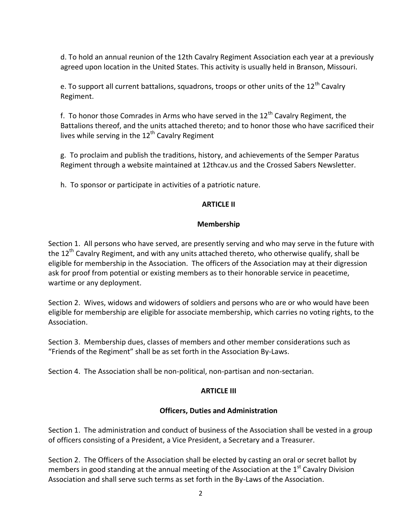d. To hold an annual reunion of the 12th Cavalry Regiment Association each year at a previously agreed upon location in the United States. This activity is usually held in Branson, Missouri.

e. To support all current battalions, squadrons, troops or other units of the 12<sup>th</sup> Cavalry Regiment.

f. To honor those Comrades in Arms who have served in the  $12<sup>th</sup>$  Cavalry Regiment, the Battalions thereof, and the units attached thereto; and to honor those who have sacrificed their lives while serving in the  $12<sup>th</sup>$  Cavalry Regiment

g. To proclaim and publish the traditions, history, and achievements of the Semper Paratus Regiment through a website maintained at 12thcav.us and the Crossed Sabers Newsletter.

h. To sponsor or participate in activities of a patriotic nature.

# **ARTICLE II**

# **Membership**

Section 1. All persons who have served, are presently serving and who may serve in the future with the 12<sup>th</sup> Cavalry Regiment, and with any units attached thereto, who otherwise qualify, shall be eligible for membership in the Association. The officers of the Association may at their digression ask for proof from potential or existing members as to their honorable service in peacetime, wartime or any deployment.

Section 2. Wives, widows and widowers of soldiers and persons who are or who would have been eligible for membership are eligible for associate membership, which carries no voting rights, to the Association.

Section 3. Membership dues, classes of members and other member considerations such as "Friends of the Regiment" shall be as set forth in the Association By-Laws.

Section 4. The Association shall be non-political, non-partisan and non-sectarian.

# **ARTICLE III**

# **Officers, Duties and Administration**

Section 1. The administration and conduct of business of the Association shall be vested in a group of officers consisting of a President, a Vice President, a Secretary and a Treasurer.

Section 2. The Officers of the Association shall be elected by casting an oral or secret ballot by members in good standing at the annual meeting of the Association at the  $1<sup>st</sup>$  Cavalry Division Association and shall serve such terms as set forth in the By-Laws of the Association.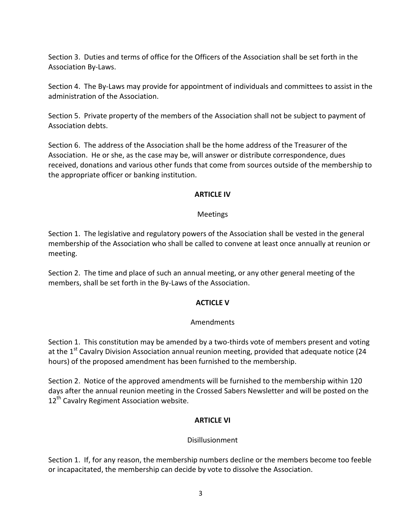Section 3. Duties and terms of office for the Officers of the Association shall be set forth in the Association By-Laws.

Section 4. The By-Laws may provide for appointment of individuals and committees to assist in the administration of the Association.

Section 5. Private property of the members of the Association shall not be subject to payment of Association debts.

Section 6. The address of the Association shall be the home address of the Treasurer of the Association. He or she, as the case may be, will answer or distribute correspondence, dues received, donations and various other funds that come from sources outside of the membership to the appropriate officer or banking institution.

#### **ARTICLE IV**

#### Meetings

Section 1. The legislative and regulatory powers of the Association shall be vested in the general membership of the Association who shall be called to convene at least once annually at reunion or meeting.

Section 2. The time and place of such an annual meeting, or any other general meeting of the members, shall be set forth in the By-Laws of the Association.

# **ACTICLE V**

#### Amendments

Section 1. This constitution may be amended by a two-thirds vote of members present and voting at the 1<sup>st</sup> Cavalry Division Association annual reunion meeting, provided that adequate notice (24 hours) of the proposed amendment has been furnished to the membership.

Section 2. Notice of the approved amendments will be furnished to the membership within 120 days after the annual reunion meeting in the Crossed Sabers Newsletter and will be posted on the 12<sup>th</sup> Cavalry Regiment Association website.

# **ARTICLE VI**

# Disillusionment

Section 1. If, for any reason, the membership numbers decline or the members become too feeble or incapacitated, the membership can decide by vote to dissolve the Association.